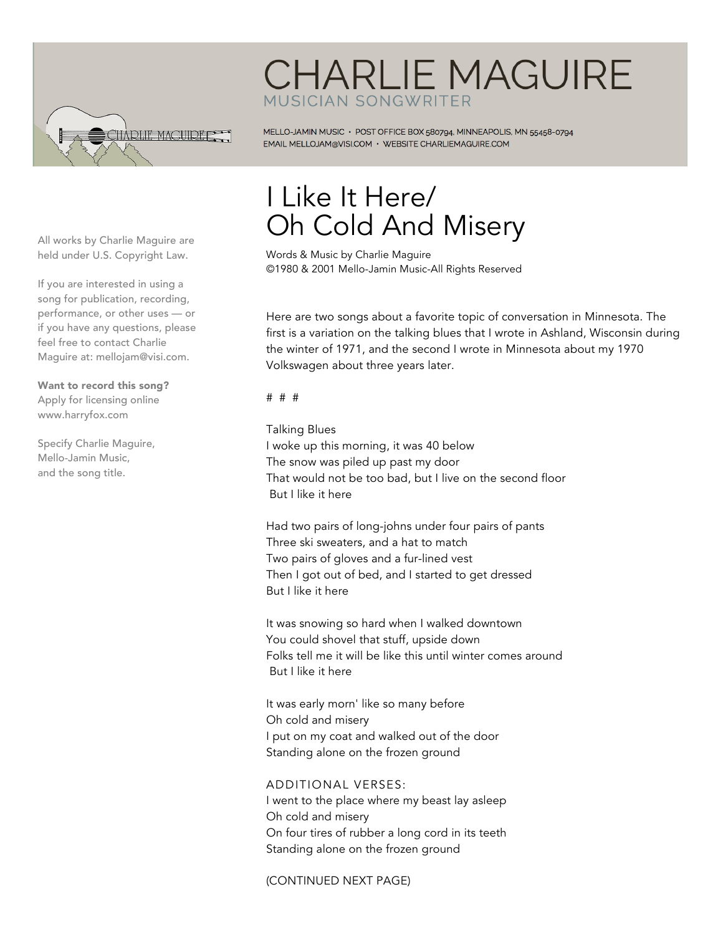

## **CHARLIE MAGUIRE** MUSICIAN SONGWRITER

MELLO-JAMIN MUSIC · POST OFFICE BOX 580794, MINNEAPOLIS, MN 55458-0794 EMAIL MELLOJAM@VISI.COM · WEBSITE CHARLIEMAGUIRE.COM

All works by Charlie Maguire are held under U.S. Copyright Law.

If you are interested in using a song for publication, recording, performance, or other uses — or if you have any questions, please feel free to contact Charlie Maguire at: mellojam@visi.com.

Want to record this song? Apply for licensing online www.harryfox.com

Specify Charlie Maguire, Mello-Jamin Music, and the song title.

## I Like It Here/ Oh Cold And Misery

Words & Music by Charlie Maguire ©1980 & 2001 Mello-Jamin Music-All Rights Reserved

Here are two songs about a favorite topic of conversation in Minnesota. The first is a variation on the talking blues that I wrote in Ashland, Wisconsin during the winter of 1971, and the second I wrote in Minnesota about my 1970 Volkswagen about three years later.

# # #

Talking Blues I woke up this morning, it was 40 below The snow was piled up past my door That would not be too bad, but I live on the second floor But I like it here

Had two pairs of long-johns under four pairs of pants Three ski sweaters, and a hat to match Two pairs of gloves and a fur-lined vest Then I got out of bed, and I started to get dressed But I like it here

It was snowing so hard when I walked downtown You could shovel that stuff, upside down Folks tell me it will be like this until winter comes around But I like it here

It was early morn' like so many before Oh cold and misery I put on my coat and walked out of the door Standing alone on the frozen ground

## ADDITIONAL VERSES:

I went to the place where my beast lay asleep Oh cold and misery On four tires of rubber a long cord in its teeth Standing alone on the frozen ground

(CONTINUED NEXT PAGE)